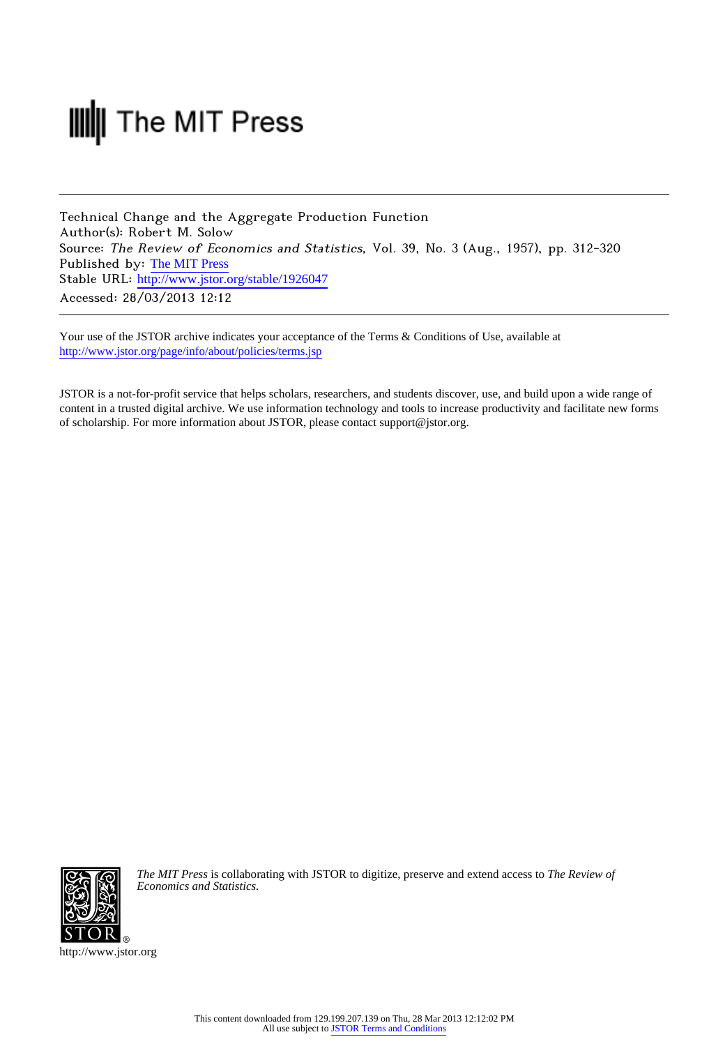# **III** The MIT Press

Technical Change and the Aggregate Production Function Author(s): Robert M. Solow Source: The Review of Economics and Statistics, Vol. 39, No. 3 (Aug., 1957), pp. 312-320 Published by: [The MIT Press](http://www.jstor.org/action/showPublisher?publisherCode=mitpress) Stable URL: [http://www.jstor.org/stable/1926047](http://www.jstor.org/stable/1926047?origin=JSTOR-pdf) Accessed: 28/03/2013 12:12

Your use of the JSTOR archive indicates your acceptance of the Terms & Conditions of Use, available at <http://www.jstor.org/page/info/about/policies/terms.jsp>

JSTOR is a not-for-profit service that helps scholars, researchers, and students discover, use, and build upon a wide range of content in a trusted digital archive. We use information technology and tools to increase productivity and facilitate new forms of scholarship. For more information about JSTOR, please contact support@jstor.org.



*The MIT Press* is collaborating with JSTOR to digitize, preserve and extend access to *The Review of Economics and Statistics.*

http://www.jstor.org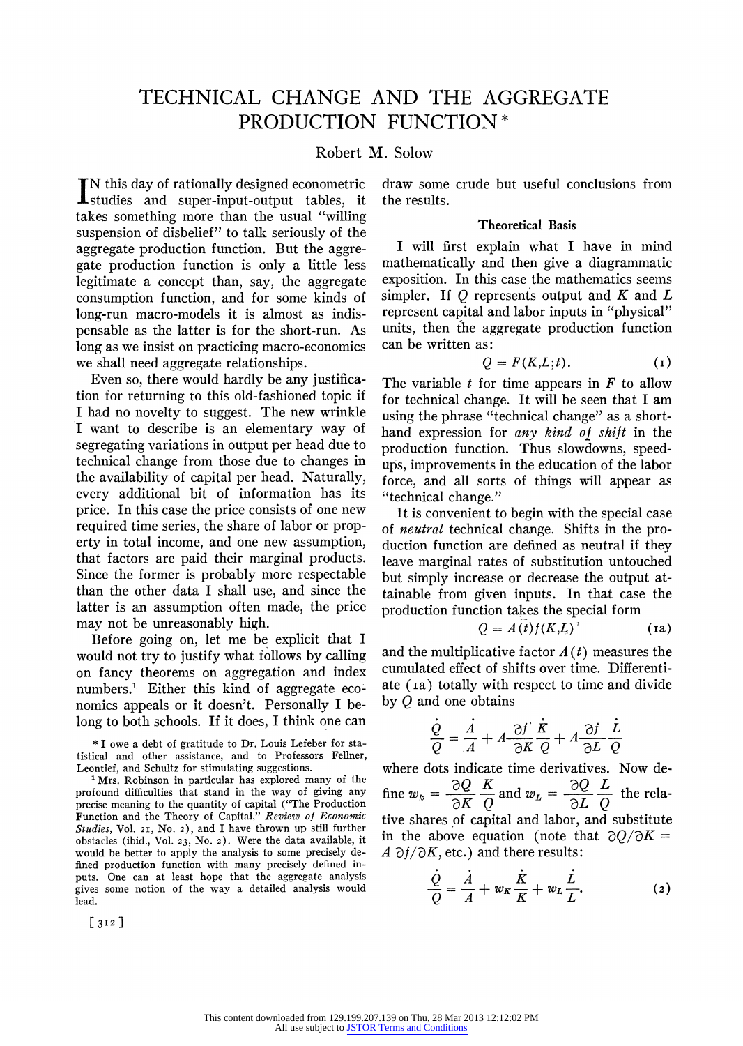# **TECHNICAL CHANGE AND THE AGGREGATE PRODUCTION FUNCTION \***

# **Robert M. Solow**

**JN this day of rationally designed econometric studies and super-input-output tables, it takes something more than the usual "willing suspension of disbelief" to talk seriously of the aggregate production function. But the aggregate production function is only a little less legitimate a concept than, say, the aggregate consumption function, and for some kinds of long-run macro-models it is almost as indispensable as the latter is for the short-run. As long as we insist on practicing macro-economics we shall need aggregate relationships.** 

**Even so, there would hardly be any justification for returning to this old-fashioned topic if I had no novelty to suggest. The new wrinkle I want to describe is an elementary way of segregating variations in output per head due to technical change from those due to changes in the availability of capital per head. Naturally, every additional bit of information has its price. In this case the price consists of one new required time series, the share of labor or property in total income, and one new assumption, that factors are paid their marginal products. Since the former is probably more respectable than the other data I shall use, and since the latter is an assumption often made, the price may not be unreasonably high.** 

**Before going on, let me be explicit that I would not try to justify what follows by calling on fancy theorems on aggregation and index numbers.' Either this kind of aggregate economics appeals or it doesn't. Personally I belong to both schools. If it does, I think one can** 

**\* I owe a debt of gratitude to Dr. Louis Lefeber for statistical and other assistance, and to Professors Fellner, Leontief, and Schultz for stimulating suggestions.** 

**<sup>1</sup>Mrs. Robinson in particular has explored many of the profound difficulties that stand in the way of giving any precise meaning to the quantity of capital ("The Production Function and the Theory of Capital," Review of Economic Studies, Vol. 2I, No. 2), and I have thrown up still further obstacles (ibid., Vol. 23, No. 2). Were the data available, it would be better to apply the analysis to some precisely defined production function with many precisely defined inputs. One can at least hope that the aggregate analysis gives some notion of the way a detailed analysis would lead.** 

**[ 3I2 ]** 

**draw some crude but useful conclusions from the results.** 

## **Theoretical Basis**

**I will first explain what I have in mind mathematically and then give a diagrammatic exposition. In this case the mathematics seems simpler. If Q represents output and K and L represent capital and labor inputs in "physical" units, then fhe aggregate production function can be written as:** 

$$
Q = F(K,L;t). \tag{1}
$$

The variable  $t$  for time appears in  $F$  to allow **for technical change. It will be seen that I am using the phrase "technical change" as a shorthand expression for any kind of shift in the production function. Thus slowdowns, speedups, improvements in the education of the labor force, and all sorts of things will appear as "technical change."** 

**It is convenient to begin with the special case of neutral technical change. Shifts in the production function are defined as neutral if they leave marginal rates of substitution untouched but simply increase or decrease the output attainable from given inputs. In that case the production function takes the special form** 

$$
Q = A(t)f(K,L) \qquad \qquad \textbf{(1a)}
$$

and the multiplicative factor  $A(t)$  measures the **cumulated effect of shifts over time. Differentiate (ia) totally with respect to time and divide by Q and one obtains** 

$$
\frac{\dot{Q}}{Q} = \frac{\dot{A}}{A} + A \frac{\partial f}{\partial K} \frac{\dot{K}}{Q} + A \frac{\partial f}{\partial L} \frac{\dot{L}}{Q}
$$

**where dots indicate time derivatives. Now de**fine  $w_k = \frac{\partial Q}{\partial E} \frac{K}{\partial \Omega}$  and  $w_k = \frac{\partial Q}{\partial L} \frac{L}{\partial \Omega}$  the rela-**DK Q DL Q tive shares of capital and labor, and substitute**  in the above equation (note that  $\partial Q/\partial K=$  $A \partial f / \partial K$ , etc.) and there results:

$$
\frac{\dot{Q}}{Q} = \frac{\dot{A}}{A} + w_K \frac{\dot{K}}{K} + w_L \frac{\dot{L}}{L}.
$$
 (2)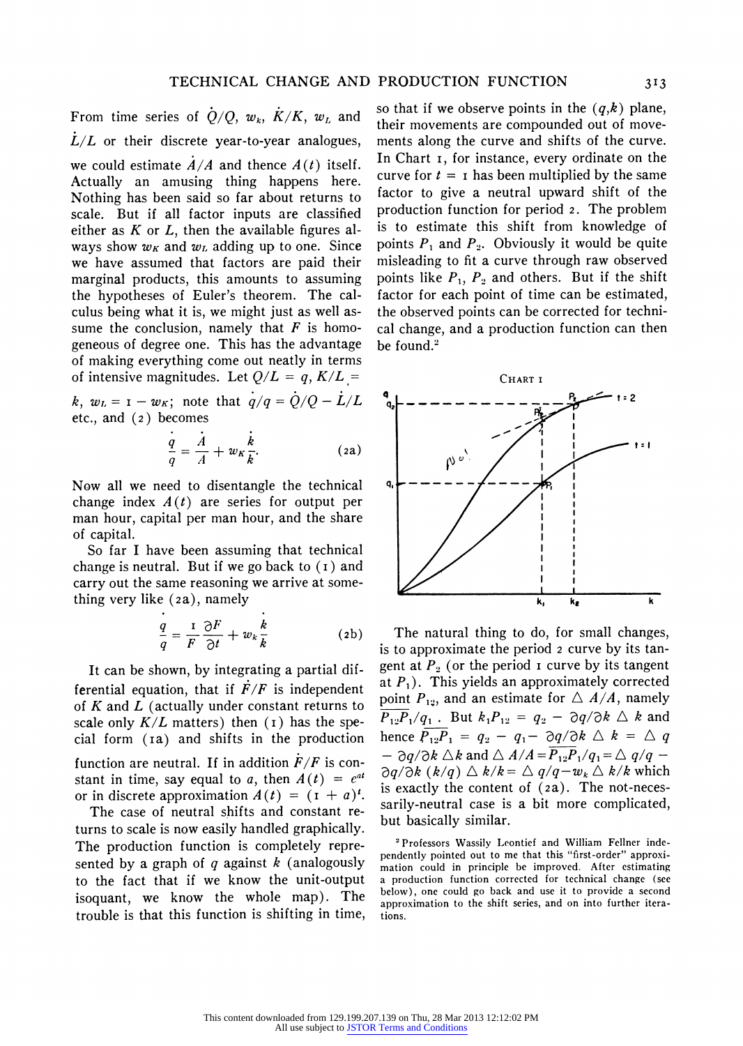From time series of  $\dot{Q}/Q$ ,  $w_k$ ,  $\dot{K}/K$ ,  $w_l$  and **L/L or their discrete year-to-year analogues,**  we could estimate  $A/A$  and thence  $A(t)$  itself. **Actually an amusing thing happens here. Nothing has been said so far about returns to scale. But if all factor inputs are classified either as K or L, then the available figures always show**  $w_K$  **and**  $w_L$  **adding up to one. Since we have assumed that factors are paid their marginal products, this amounts to assuming the hypotheses of Euler's theorem. The calculus being what it is, we might just as well assume the conclusion, namely that F is homogeneotus of degree one. This has the advantage of making everything come out neatly in terms**  of intensive magnitudes. Let  $Q/L = q$ ,  $K/L =$ 

 $k, w_L = 1 - w_K$ ; note that  $\dot{q}/q = \dot{Q}/Q - \dot{L}/L$ **etc., and (2) becomes** 

$$
\frac{q}{q} = \frac{A}{A} + w_K \frac{k}{k}.
$$
 (2a)

**Now all we need to disentangle the technical**  change index  $A(t)$  are series for output per **man hour, capital per man hour, and the share of capital.** 

**So far I have been assuming that technical change is neutral. But if we go back to (i) and carry out the same reasoning we arrive at something very like (2a), namely** 

$$
\frac{q}{q} = \frac{1}{F} \frac{\partial F}{\partial t} + w_k \frac{k}{k}
$$
 (2b)

**It can be shown, by integrating a partial differential equation, that if**  $\vec{F}/F$  **is independent of K and L (actually under constant returns to**  scale only  $K/L$  matters) then  $(1)$  has the spe**cial form (ia) and shifts in the production function are neutral. If in addition**  $F/F$  **is con**stant in time, say equal to a, then  $A(t) = e^{at}$ or in discrete approximation  $A(t) = (1 + a)^t$ .

**The case of neutral shifts and constant returns to scale is now easily handled graphically. The production function is completely represented by a graph of q against k (analogously to the fact that if we know the unit-output isoquant, we know the whole map). The trouble is that this function is shifting in time,**  so that if we observe points in the  $(q,k)$  plane, **their movements are compounded out of movements along the curve and shifts of the curve. In Chart i, for instance, every ordinate on the**  curve for  $t = r$  has been multiplied by the same **factor to give a neutral upward shift of the production function for period 2. The problem is to estimate this shift from knowledge of**  points  $P_1$  and  $P_2$ . Obviously it would be quite **misleading to fit a curve through raw observed**  points like  $P_1$ ,  $P_2$  and others. But if the shift **factor for each point of time can be estimated, the observed points can be corrected for technical change, and a production function can then be found.>** 



**The natural thing to do, for small changes, is to approximate the period 2 curve by its tan**gent at  $P_2$  (or the period **i** curve by its tangent at  $P_1$ ). This yields an approximately corrected point  $P_{12}$ , and an estimate for  $\triangle$   $A/A$ , namely  $\overline{P_{12}P_1}/q_1$ . But  $k_1P_{12} = q_2 - \partial q/\partial k \triangle k$  and **hence**  $P_{12}P_1 = q_2 - q_1 - \frac{\partial q}{\partial k} \triangle k = \triangle q$  $\partial q/\partial k \bigtriangleup k$  and  $\bigtriangleup A/A = \overline{P_{12}P_{1}}/q_{1} = \bigtriangleup q/q$  –  $\partial q/\partial k$  ( $k/q$ )  $\triangle k/k = \triangle q/q-w_k \triangle k/k$  which **is exactly the content of (2a). The not-necessarily-neutral case is a bit more complicated, but basically similar.** 

**<sup>2</sup>Professors Wassily Leontief and William Fellner independently pointed out to me that this "first-order" approximation could in principle be improved. After estimating a production function corrected for technical change (see below), one could go back and use it to provide a second approximation to the shift series, and on into further iterations.**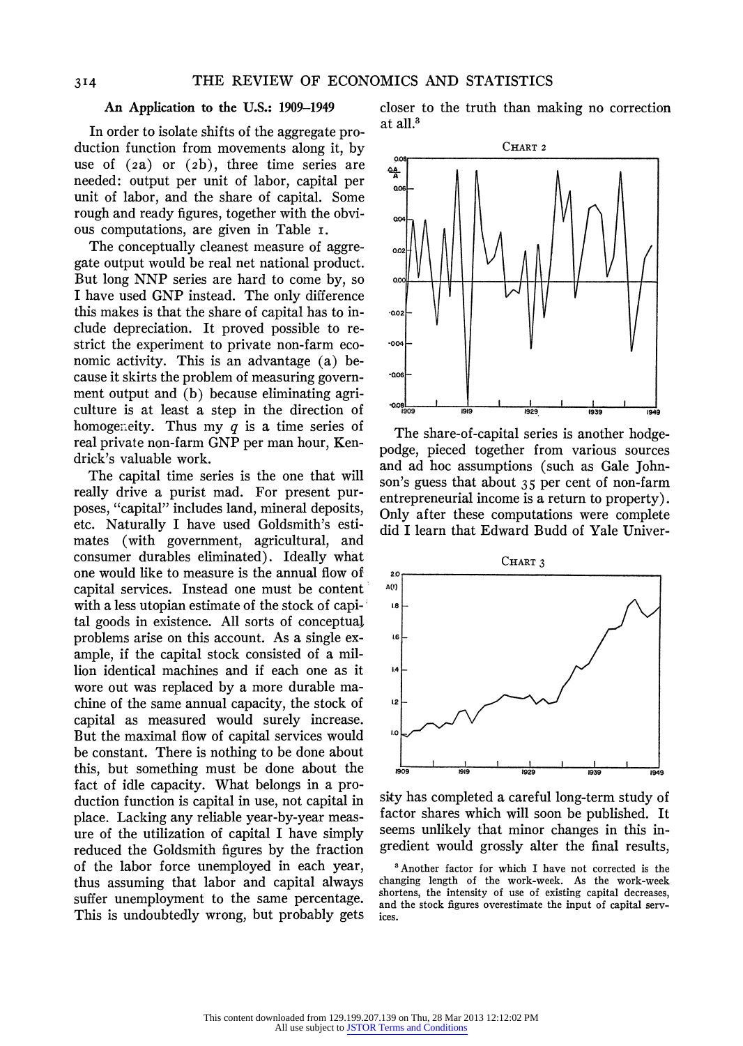### **An Application to the U.S.: 1909-1949**

**In order to isolate shifts of the aggregate production function from movements along it, by use of (2a) or (2b), three time series are needed: output per unit of labor, capital per unit of labor, and the share of capital. Some rough and ready figures, together with the obvious computations, are given in Table i.** 

**The conceptually cleanest measure of aggregate output would be real net national product. But long NNP series are hard to come by, so I have used GNP instead. The only difference this makes is that the share of capital has to include depreciation. It proved possible to restrict the experiment to private non-farm economic activity. This is an advantage (a) because it skirts the problem of measuring government output and (b) because eliminating agriculture is at least a step in the direction of homogeneity. Thus my q is a time series of real private non-farm GNP per man hour, Kendrick's valuable work.** 

**The capital time series is the one that will really drive a purist mad. For present purposes, "capital" includes land, mineral deposits, etc. Naturally I have used Goldsmith's estimates (with government, agricultural, and consumer durables eliminated). Ideally what one would like to measure is the annual flow of capital services. Instead one must be content with a less utopian estimate of the stock of capital goods in existence. All sorts of conceptual problems arise on this account. As a single example, if the capital stock consisted of a million identical machines and if each one as it wore out was replaced by a more durable machine of the same annual capacity, the stock of capital as measured would surely increase. But the maximal flow of capital services would be constant. There is nothing to be done about this, but something must be done about the fact of idle capacity. What belongs in a production function is capital in use, not capital in place. Lacking any reliable year-by-year measure of the utilization of capital I have simply reduced the Goldsmith figures by the fraction of the labor force unemployed in each year, thus assuming that labor and capital always suffer unemployment to the same percentage. This is undoubtedly wrong, but probably gets** 

**closer to the truth than making no correction at all.3** 



**The share-of-capital series is another hodgepodge, pieced together from various sources and ad hoc assumptions (such as Gale Johnson's guess that about 35 per cent of non-farm entrepreneurial income is a return to property). Only after these computations were complete did I learn that Edward Budd of Yale Univer-**



**sity has completed a careful long-term study of factor shares which will soon be published. It seems unlikely that minor changes in this ingredient would grossly alter the final results,** 

**3 Another factor for which I have not corrected is the changing length of the work-week. As the work-week shortens, the intensity of use of existing capital decreases, and the stock figures overestimate the input of capital services.**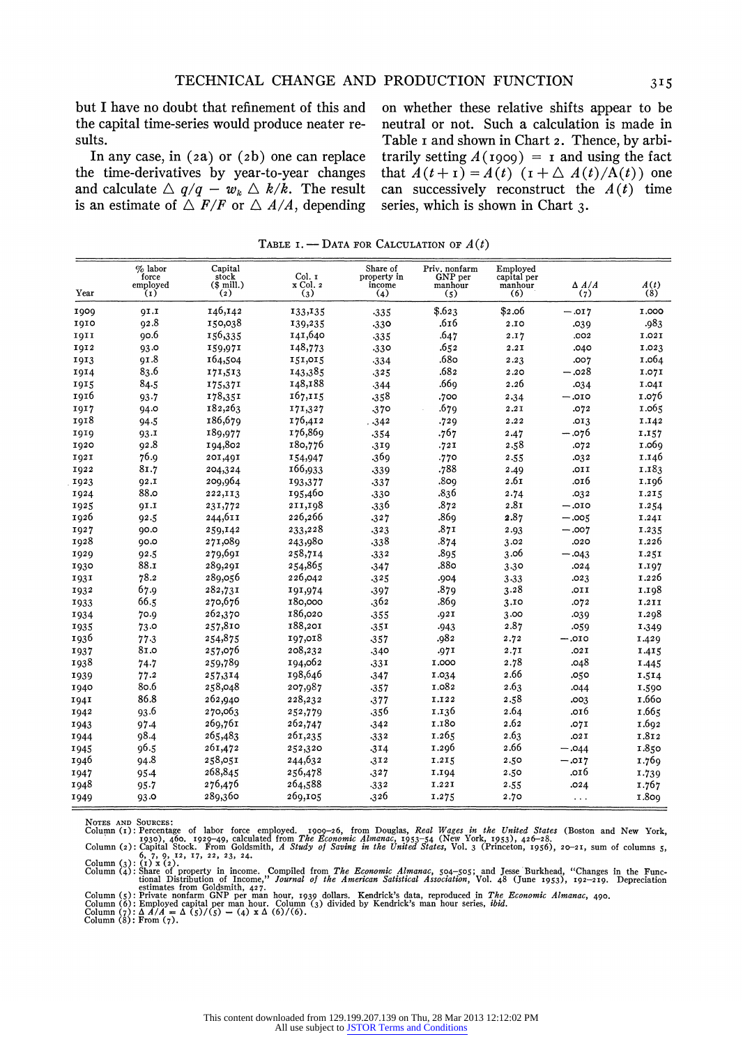**but I have no doubt that refinement of this and the capital time-series would produce neater results.** 

**In any case, in (2a) or (2b) one can replace the time-derivatives by year-to-year changes**  and calculate  $\Delta q/q - w_k \Delta k/k$ . The result is an estimate of  $\triangle$  F/F or  $\triangle$  A/A, depending

**on whether these relative shifts appear to be neutral or not. Such a calculation is made in Table i and shown in Chart 2. Thence, by arbitrarily setting**  $A(1909) = I$  **and using the fact that**  $A(t+1) = A(t)$   $(\mathbf{I} + \Delta A(t)/A(t))$  one can successively reconstruct the  $A(t)$  time **series, which is shown in Chart 3.** 

| Year             | $%$ labor<br>force<br>employed<br>(1) | Capital<br>stock<br>$$$ mill.)<br>(2) | Col. <sub>I</sub><br>x Col. 2<br>$\left(3\right)$ | Share of<br>property in<br>income<br>(4) | Priv. nonfarm<br>GNP per<br>manhour<br>(5) | Employed<br>capital per<br>manhour<br>(6) | $\Delta$ A/A<br>(7) | A(t)<br>(8)  |
|------------------|---------------------------------------|---------------------------------------|---------------------------------------------------|------------------------------------------|--------------------------------------------|-------------------------------------------|---------------------|--------------|
| 1909             | <b>1.10</b>                           | 146,142                               | 133,135                                           | $-335$                                   | \$.623                                     | \$2.06                                    | $-.017$             | <b>COO.I</b> |
| 1910             | 02.8                                  | 150,038                               | 139,235                                           | .330                                     | .616                                       | 2.10                                      | .039                | .983         |
| 1911             | 00.6                                  | 156,335                               | 141,640                                           | $-335$                                   | .647                                       | 2.17                                      | .002                | I.02I        |
| 1912             | 93.0                                  | 159,971                               | 148,773                                           | .330                                     | .652                                       | 2.2I                                      | .040                | 1.023        |
| 1913             | 91.8                                  | 164,504                               | 151,015                                           | $-334$                                   | .68 <sub>o</sub>                           | 2.23                                      | .007                | 1.064        |
| 1914             | 83.6                                  | 171,513                               | 143,385                                           | .325                                     | .682                                       | 2.20                                      | -- .028             | 1.071        |
| 1915             | 84.5                                  | 175,371                               | 148,188                                           | .344                                     | .669                                       | 2.26                                      | .034                | 1.041        |
| 1916             | 93.7                                  | 178,351                               | 167,115                                           | .358                                     | .700                                       | 2.34                                      | $-.010$             | 1.076        |
| <b>1917</b>      | 94.0                                  | 182,263                               | 171,327                                           | .370                                     | .679                                       | 2.21                                      | .072                | 1.065        |
| 1918             | 94.5                                  | 186,679                               | 176,412                                           | .342                                     | .729                                       | 2.22                                      | .013                | I.I42        |
| 1919             | 93.1                                  | 189,977                               | 176,869                                           | $-354$                                   | .767                                       | 2.47                                      | $-.076$             | 1.157        |
| 1920             | 02.8                                  | 194,802                               | 180,776                                           | .319                                     | .72I                                       | 2.58                                      | .072                | 1.060        |
| 1921             | 76.9                                  | 201,491                               | 154,947                                           | .369                                     | .770                                       | 2.55                                      | .032                | 1.146        |
| 1922             | 81.7                                  | 204,324                               | 166,933                                           | $-339$                                   | .788                                       | 2.49                                      | IIO.                | 1.183        |
| 1923             | 92.1                                  | 209,964                               | 193,377                                           | $-337$                                   | .809                                       | 2.61                                      | .от6                | 1.196        |
| 1924             | 88.0                                  | 222,113                               | 195,460                                           | .330                                     | .836                                       | 2.74                                      | .032                | 1.215        |
| 1925             | 1.10                                  | 231,772                               | 211,198                                           | .336                                     | .872                                       | 2.81                                      | $-.010$             | 1.254        |
| 1926             | 92.5                                  | 244,611                               | 226,266                                           | .327                                     | .86q                                       | 2.87                                      | $-.005$             | 1.241        |
| 1927             | 90.0                                  | 259,142                               | 233,228                                           | .323                                     | .87I                                       | 2.93                                      | $-.007$             | 1.235        |
| 1928             | 90.0                                  | 271,089                               | 243,980                                           | .338                                     | .874                                       | 3.02                                      | .020                | 1.226        |
| 1929             | 92.5                                  | 279,691                               | 258,714                                           | .332                                     | .895                                       | 3.06                                      | $-.043$             | 1.251        |
| 1930             | 88.1                                  | 289,291                               | 254,865                                           | .347                                     | .880                                       | 3.30                                      | .024                | 1.197        |
| 193 <sup>1</sup> | 78.2                                  | 289,056                               | 226,042                                           | .325                                     | .904                                       | 3.33                                      | .023                | I.226        |
| 1932             | 67.9                                  | 282,731                               | 191,974                                           | .397                                     | .879                                       | 3.28                                      | IIO.                | 1.198        |
| 1933             | 66.5                                  | 270,676                               | 180,000                                           | .362                                     | .869                                       | 3.10                                      | .072                | <b>I.2II</b> |
| 1934             | 70.9                                  | 262,370                               | 186,020                                           | .355                                     | .921                                       | 3.00                                      | .039                | 1.298        |
| 1935             | 73.0                                  | 257,810                               | 188,201                                           | .35I                                     | .943                                       | 2.87                                      | .059                | 1.349        |
| 1936             | 77.3                                  | 254,875                               | 197,018                                           | $-357$                                   | .982                                       | 2.72                                      | $-.010$             | 1.429        |
| 1937             | 81.0                                  | 257,076                               | 208,232                                           | .340                                     | .971                                       | 2.71                                      | .02I                | 1.415        |
| 1938             | 74.7                                  | 259,789                               | 194,062                                           | .33I                                     | 1.000                                      | 2.78                                      | .048                | I.445        |
| 1939             | 77.2                                  | 257,314                               | 198,646                                           | .347                                     | 1.034                                      | 2.66                                      | .050                | 1.514        |
| 1940             | 80.6                                  | 258,048                               | 207,987                                           | $-357$                                   | 1.082                                      | 2.63                                      | .044                | 1.590        |
| 1941             | 86.8                                  | 262,940                               | 228,232                                           | $-377$                                   | <b>I.I22</b>                               | 2.58                                      | .003                | 1.66o        |
| 1942             | 93.6                                  | 270,063                               | 252,779                                           | .356                                     | 1.136                                      | 2.64                                      | .016                | 1.665        |
| 1943             | 97.4                                  | 269,761                               | 262,747                                           | .342                                     | I.180                                      | 2.62                                      | .071                | 1.692        |
| 1944             | 98.4                                  | 265,483                               | 261,235                                           | $-332$                                   | 1.265                                      | 2.63                                      | .02 I               | 1.812        |
| 1945             | 96.5                                  | 261,472                               | 252,320                                           | .314                                     | 1.296                                      | 2.66                                      | $-.044$             | 1.850        |
| 1946             | 94.8                                  | 258,051                               | 244,632                                           | .312                                     | 1.215                                      | 2.50                                      | $-.017$             | 1.769        |
| 1947             | 95.4                                  | 268,845                               | 256,478                                           | .327                                     | I.194                                      | 2.50                                      | 016.                | 1.739        |
| 1948             | 95.7                                  | 276,476                               | 264,588                                           | .332                                     | I.22I                                      | 2.55                                      | .024                | 1.767        |
| 1949             | 93.0                                  | 289,360                               | 269,105                                           | .326                                     | 1.275                                      | 2.70                                      | $\cdots$            | 1.800        |

TABLE **I.** -- DATA FOR CALCULATION OF  $A(t)$ 

Nores AND SOUCRES:<br>Column (1): Percentage of labor force employed. 1909–26, from Douglas, Real Wages in the United States (Boston and New York,<br>Column (2):  $\frac{1930}{400}$ , 1930–49, calculated from *The Economic Almanac*,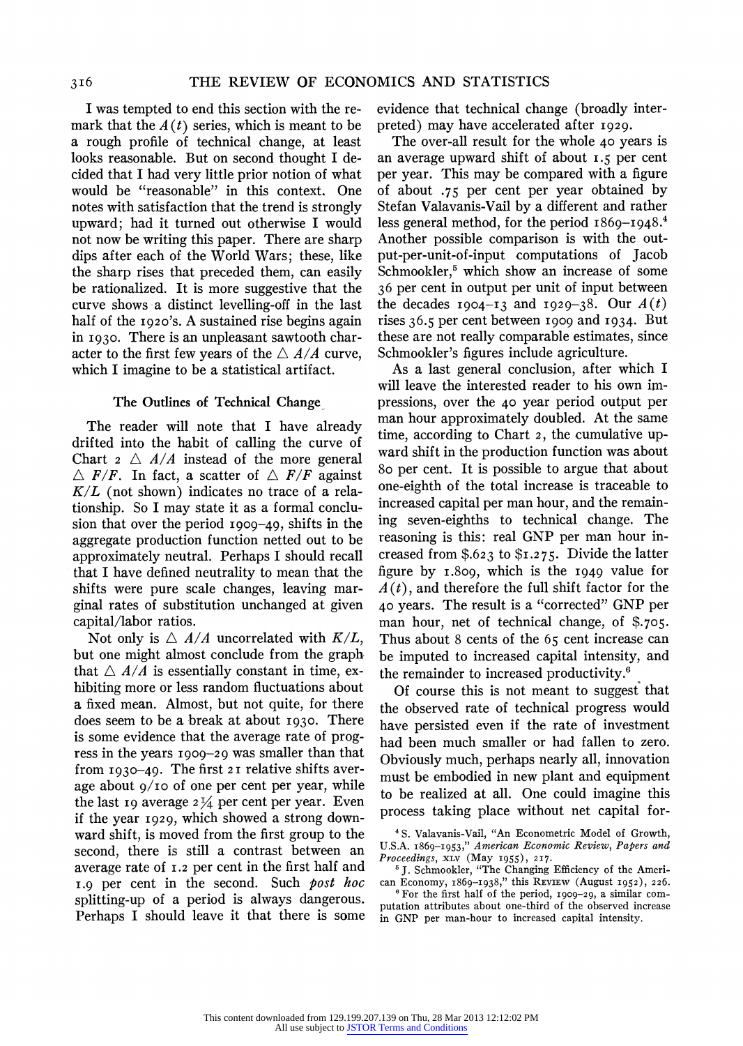**I was tempted to end this section with the re**mark that the  $A(t)$  series, which is meant to be **a rough profile of technical change, at least looks reasonable. But on second thought I decided that I had very little prior notion of what would be "reasonable" in this context. One notes with satisfaction that the trend is strongly upward; had it turned out otherwise I would not now be writing this paper. There are sharp dips after each of the World Wars; these, like the sharp rises that preceded them, can easily be rationalized. It is more suggestive that the curve shows a distinct levelling-off in the last half of the I92o's. A sustained rise begins again in I930. There is an unpleasant sawtooth char**acter to the first few years of the  $\triangle$   $A/A$  curve, **which I imagine to be a statistical artifact.** 

#### **The Outlines of Technical Change**

**The reader will note that I have already drifted into the habit of calling the curve of**  Chart  $2 \triangle A/A$  instead of the more general  $\triangle$  F/F. In fact, a scatter of  $\triangle$  F/F against **K/L (not shown) indicates no trace of a relationship. So I may state it as a formal conclusion that over the period I909-49, shifts in the aggregate production function netted out to be approximately neutral. Perhaps I should recall that I have defined neutrality to mean that the shifts were pure scale changes, leaving marginal rates of substitution unchanged at given capital/labor ratios.** 

Not only is  $\triangle$  A/A uncorrelated with  $K/L$ , **but one might almost conclude from the graph**that  $\triangle$  A/A is essentially constant in time, ex**hibiting more or less random fluctuations about a fixed mean. Almost, but not quite, for there does seem to be a break at about I930. There is some evidence that the average rate of progress in the years I909-29 was smaller than that from I930-49. The first 2I relative shifts average about 9/Ia of one per cent per year, while**  the last **19** average  $2\frac{1}{4}$  per cent per year. Even **if the year I929, which showed a strong downward shift, is moved from the first group to the second, there is still a contrast between an average rate of I.2 per cent in the first half and I.9 per cent in the second. Such post hoc splitting-up of a period is always dangerous. Perhaps I should leave it that there is some**  **evidence that technical change (broadly interpreted) may have accelerated after I929.** 

**The over-all result for the whole 40 years is an average upward shift of about I.5 per cent per year. This may be compared with a figure of about .75 per cent per year obtained by Stefan Valavanis-Vail by a different and rather less general method, for the period I869-I948.4 Another possible comparison is with the output-per-unit-of-input computations of Jacob Schmookler,5 which show an increase of some 36 per cent in output per unit of input between the decades 1904–13 and 1929–38.** Our  $A(t)$ **rises 36.5 per cent between I909 and I934. But these are not really comparable estimates, since Schmookler's figures include agriculture.** 

**As a last general conclusion, after which I**  will leave the interested reader to his own im**pressions, over the 40 year period output per man hour approximately doubled. At the same time, according to Chart 2, the cumulative upward shift in the production function was about 8o per cent. It is possible to argue that about one-eighth of the total increase is traceable to increased capital per man hour, and the remaining seven-eighths to technical change. The reasoning is this: real GNP per man hour increased from \$.623 to \$I.2 75. Divide the latter figure by I.809, which is the I949 value for**   $A(t)$ , and therefore the full shift factor for the **40 years. The result is a "corrected" GNP per man hour, net of technical change, of \$.705. Thus about 8 cents of the 65 cent increase can be imputed to increased capital intensity, and the remainder to increased productivity.6** 

**Of course this is not meant to suggest that the observed rate of technical progress would have persisted even if the rate of investment had been much smaller or had fallen to zero. Obviously much, perhaps nearly all, innovation must be embodied in new plant and equipment to be realized at all. One could imagine this process taking place without net capital for-**

**<sup>4</sup> S. Valavanis-Vail, "An Econometric Model of Growth, U.S.A. i869-i953," American Economic Review, Papers and Proceedings, XLV (May I955), 2I7.** 

**<sup>5</sup> J. Schmookler, "The Changing Efficiency of the American Economy, I869-I938," this REViEW (August 1952), 226.** 

**<sup>&#</sup>x27; For the first half of the period, I909-29, a similar computation attributes about one-third of the observed increase in GNP per man-hour to increased capital intensity.**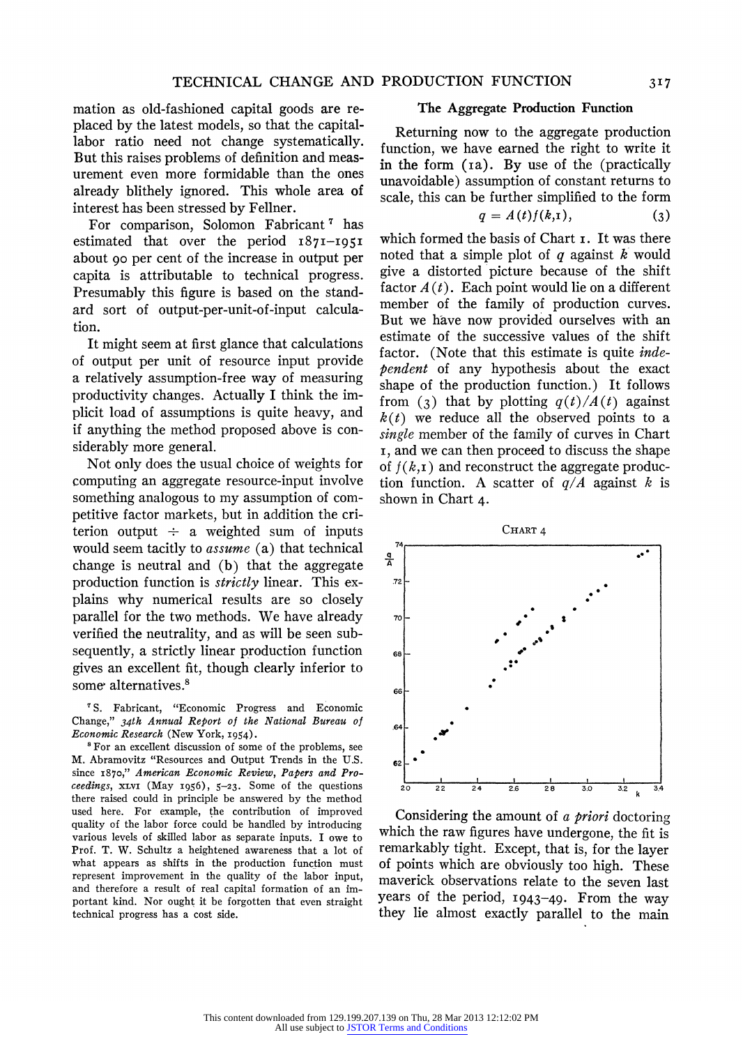**mation as old-fashioned capital goods are replaced by the latest models, so that the capitallabor ratio need not change systematically. But this raises problems of definition and measurement even more formidable than the ones already blithely ignored. This whole area of interest has been stressed by Fellner.** 

**For comparison, Solomon Fabricant 7 has estimated that over the period I87I-195I about go per cent of the increase in output per capita is attributable to technical progress. Presumably this figure is based on the standard sort of output-per-unit-of-input calculation.** 

**It might seem at first glance that calculations of output per unit of resource input provide a relatively assumption-free way of measuring productivity changes. Actually I think the implicit load of assumptions is quite heavy, and if anything the method proposed above is considerably more general.** 

**Not only does the usual choice of weights for computing an aggregate resource-input involve something analogous to my assumption of competitive factor markets, but in addition the cri**terion output  $\div$  a weighted sum of inputs **would seem tacitly to assume (a) that technical change is neutral and (b) that the aggregate production function is strictly linear. This explains why numerical results are so closely parallel for the two methods. We have already verified the neutrality, and as will be seen subsequently, a strictly linear production function gives an excellent fit, though clearly inferior to**  some alternatives.<sup>8</sup>

**<sup>8</sup>For an excellent discussion of some of the problems, see M. Abramovitz "Resources and Output Trends in the U.S. since I870," American Economic Review, Papers and Proceedings, XLVI (May I956), 5-23. Some of the questions there raised could in principle be answered by the method used here. For example, the contribution of improved quality of the labor force could be handled by introducing various levels of skilled labor as separate inputs. I owe to Prof. T. W. Schultz a heightened awareness that a lot of what appears as shifts in the production function must represent improvement in the quality of the labor input, and therefore a result of real capital formation of an important kind. Nor ought it be forgotten that even straight technical progress has a cost side.** 

#### **The Aggregate Production Function**

**Returning now to the aggregate production function, we have earned the right to write it in the form (ia). By use of the (practically unavoidable) assumption of constant returns to scale, this can be further simplified to the form** 

$$
q = A(t)f(k,1), \qquad (3)
$$

**which formed the basis of Chart i. It was there**  noted that a simple plot of  $q$  against  $k$  would **give a distorted picture because of the shift**  factor  $A(t)$ . Each point would lie on a different **member of the family of production curves. But we have now provided ourselves with an estimate of the successive values of the shift factor. (Note that this estimate is quite independent of any hypothesis about the exact shape of the production function.) It follows**  from (3) that by plotting  $q(t)/A(t)$  against  $k(t)$  we reduce all the observed points to a **single member of the family of curves in Chart I, and we can then proceed to discuss the shape of f(k,i) and reconstruct the aggregate produc**tion function. A scatter of  $q/A$  against k is **shown in Chart 4.** 



**Considering the amount of a priori doctoring which the raw figures have undergone, the fit is remarkably tight. Except, that is, for the layer of points which are obviously too high. These maverick observations relate to the seven last years of the period, 1943-49. From the way they lie almost exactly parallel to the main** 

**S. Fabricant, "Economic Progress and Economic Change," 34th Annual Report of the National Bureau of Economic Research (New York, I954).**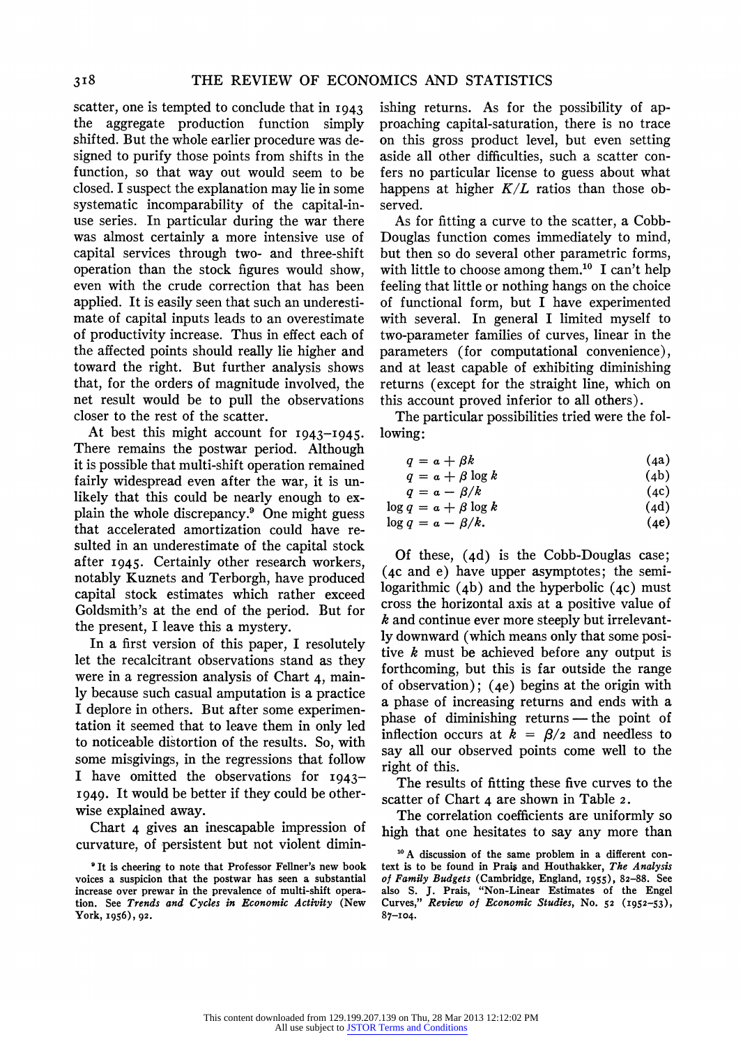**scatter, one is tempted to conclude that in I943 the aggregate production function simply shifted. But the whole earlier procedure was designed to purify those points from shifts in the function, so that way out would seem to be closed. I suspect the explanation may lie in some systematic incomparability of the capital-inuse series. In particular during the war there was almost certainly a more intensive use of capital services through two- and three-shift operation than the stock figures would show, even with the crude correction that has been applied. It is easily seen that such an underestimate of capital inputs leads to an overestimate of productivity increase. Thus in effect each of the affected points should really lie higher and toward the right. But further analysis shows that, for the orders of magnitude involved, the net result would be to pull the observations closer to the rest of the scatter.** 

**At best this might account for I943-I945. There remains the postwar period. Although it is possible that multi-shift operation remained fairly widespread even after the war, it is unlikely that this could be nearly enough to explain the whole discrepancy.9 One might guess that accelerated amortization could have resulted in an underestimate of the capital stock after I945. Certainly other research workers, notably Kuznets and Terborgh, have produced capital stock estimates which rather exceed Goldsmith's at the end of the period. But for the present, I leave this a mystery.** 

**In a first version of this paper, I resolutely let the recalcitrant observations stand as they were in a regression analysis of Chart 4, mainly because such casual amputation is a practice I deplore in others. But after some experimentation it seemed that to leave them in only led to noticeable distortion of the results. So, with some misgivings, in the regressions that follow I have omitted the observations for I943- I949. It would be better if they could be otherwise explained away.** 

**Chart 4 gives an inescapable impression of curvature, of persistent but not violent dimin-** **ishing returns. As for the possibility of approaching capital-saturation, there is no trace on this gross product level, but even setting aside all other difficulties, such a scatter confers no particular license to guess about what happens at higher K/L ratios than those observed.** 

**As for fitting a curve to the scatter, a Cobb-Douglas function comes immediately to mind, but then so do several other parametric forms, with little to choose among them.'0 I can't help feeling that little or nothing hangs on the choice of functional form, but I have experimented with several. In general I limited myself to two-parameter families of curves, linear in the parameters (for computational convenience), and at least capable of exhibiting diminishing returns (except for the straight line, which on this account proved inferior to all others).** 

**The particular possibilities tried were the following:** 

| $q = a + \beta k$ |  | (4a) |
|-------------------|--|------|
|                   |  |      |

$$
q = a + \beta \log k \tag{4b}
$$
  
q = a - \beta/k \tag{4c}

$$
\log q = a + \beta \log k \tag{4d}
$$

 $\log q = a - \beta/k.$  (4e)

**Of these, (4d) is the Cobb-Douglas case; (4c and e) have upper asymptotes; the semilogarithmic (4b) and the hyperbolic (4c) must cross the horizontal axis at a positive value of k and continue ever more steeply but irrelevantly downward (which means only that some positive k must be achieved before any output is forthcoming, but this is far outside the range of observation); (4e) begins at the origin with a phase of increasing returns and ends with a phase of diminishing returns - the point of inflection** occurs at  $k = \beta/2$  and needless to **say all our observed points come well to the right of this.** 

**The results of fitting these five curves to the scatter of Chart 4 are shown in Table 2.** 

**The correlation coefficients are uniformly so high that one hesitates to say any more than** 

**<sup>&#</sup>x27;It is cheering to note that Professor Fellner's new book voices a suspicion that the postwar has seen a substantial increase over prewar in the prevalence of multi-shift operation. See Trends and Cycles in Economic Activity (New York, 1956), 92.** 

**<sup>&#</sup>x27;0A discussion of the same problem in a different context is to be found in Prais and Houthakker, The Analysis of Family Budgets (Cambridge, England, I955), 82-88. See**  also S. J. Prais, "Non-Linear Estimates of the Engel **Curves," Review of Economic Studies, No. 52 (I952-53), 87-Io4.**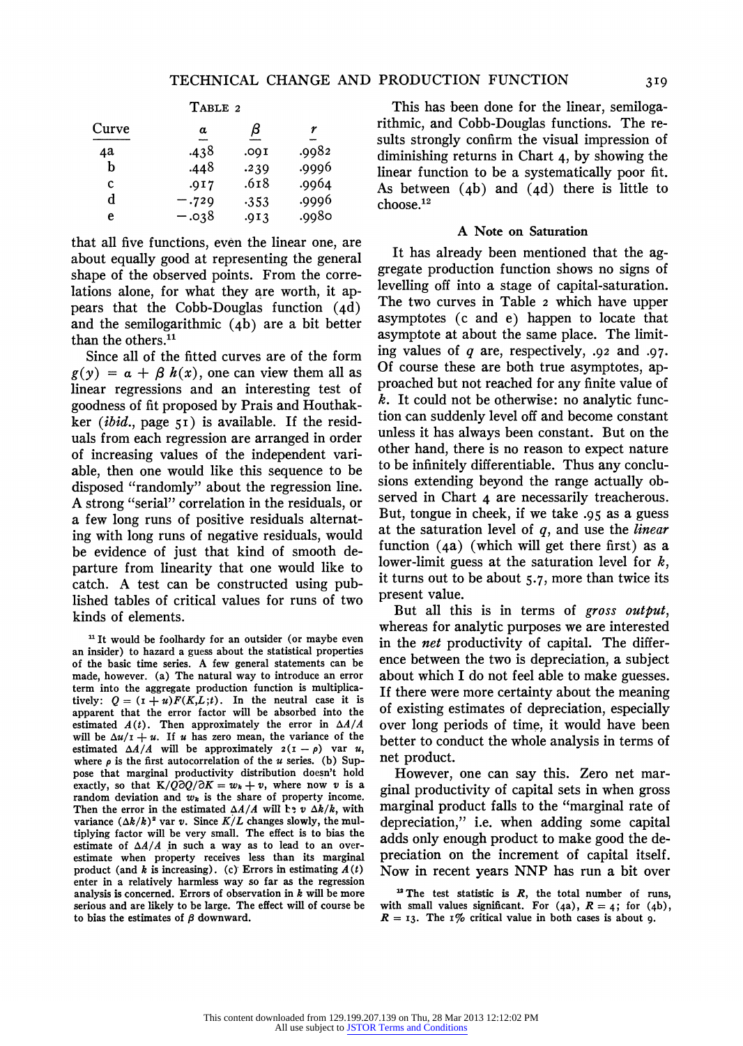| Curve | $\alpha$ | β      | r     |
|-------|----------|--------|-------|
| 4a    | .438     | .09 I  | .9982 |
| b     | .448     | .239   | .9996 |
| c     | .917     | .618   | .9964 |
| d     | $-.729$  | $-353$ | .9996 |
| е     | $-.038$  | .913   | .9980 |

**that all five functions, even the linear one, are about equally good at representing the general shape of the observed points. From the correlations alone, for what they are worth, it appears that the Cobb-Douglas function (4d) and the semilogarithmic (4b) are a bit better than the others."** 

**Since all of the fitted curves are of the form**   $g(y) = a + \beta h(x)$ , one can view them all as **linear regressions and an interesting test of goodness of fit proposed by Prais and Houthakker (ibid., page 5I) is available. If the residuals from each regression are arranged in order of increasing values of the independent variable, then one would like this sequence to be disposed "randomly" about the regression line. A strong "serial" correlation in the residuals, or a few long runs of positive residuals alternating with long runs of negative residuals, would be evidence of just that kind of smooth departure from linearity that one would like to catch. A test can be constructed using published tables of critical values for runs of two kinds of elements.** 

**'It would be foolhardy for an outsider (or maybe even an insider) to hazard a guess about the statistical properties of the basic time series. A few general statements can be made, however. (a) The natural way to introduce an error term into the aggregate production function is multiplica**tively:  $Q = (I + u)F(K,L;t)$ . In the neutral case it is **apparent that the error factor will be absorbed into the**  estimated  $A(t)$ . Then approximately the error in  $\Delta A/A$ will be  $\Delta u / I + u$ . If u has zero mean, the variance of the estimated  $\Delta A/A$  will be approximately  $2(I - \rho)$  var u, where  $\rho$  is the first autocorrelation of the  $u$  series. (b) Sup**pose that marginal productivity distribution doesn't hold exactly, so that**  $K/Q \partial Q / \partial K = w_k + v$ **, where now v is a** random deviation and  $w_k$  is the share of property income. Then the error in the estimated  $\Delta A/A$  will  $\mathbf{k}: v \Delta k/k$ , with variance  $(\Delta k/k)^2$  var v. Since  $K/L$  changes slowly, the mul**tiplying factor will be very small. The effect is to bias the**  estimate of  $\Delta A/A$  in such a way as to lead to an over**estimate when property receives less than its marginal**  product (and  $k$  is increasing). (c) Errors in estimating  $\overline{A}(t)$ **enter in a relatively harmless way so far as the regression analysis is concerned. Errors of observation in k will be more serious and are likely to be large. The effect will of course be**  to bias the estimates of  $\beta$  downward.

**This has been done for the linear, semilogarithmic, and Cobb-Douglas functions. The re**sults strongly confirm the visual impression of **diminishing returns in Chart 4, by showing the linear function to be a systematically poor fit. As between (4b) and (4d) there is little to choose.'2** 

### **A Note on Saturation**

**It has already been mentioned that the aggregate production function shows no signs of levelling off into a stage of capital-saturation. The two curves in Table 2 which have upper asymptotes (c and e) happen to locate that asymptote at about the same place. The limiting values of q are, respectively, .92 and .91. Of course these are both true asymptotes, approached but not reached for any finite value of k. It could not be otherwise: no analytic function can suddenly level off and become constant unless it has always been constant. But on the other hand, there is no reason to expect nature to be infinitely differentiable. Thus any conclusions extending beyond the range actually observed in Chart 4 are necessarily treacherous. But, tongue in cheek, if we take .95 as a guess at the saturation level of q, and use the linear function (4a) (which will get there first) as a lower-limit guess at the saturation level for k, it turns out to be about 5.7, more than twice its present value.** 

**But all this is in terms of gross output, whereas for analytic purposes we are interested in the net productivity of capital. The difference between the two is depreciation, a subject about which I do not feel able to make guesses. If there were more certainty about the meaning of existing estimates of depreciation, especially over long periods of time, it would have been better to conduct the whole analysis in terms of net product.** 

**However, one can say this. Zero net marginal productivity of capital sets in when gross marginal product falls to the "marginal rate of depreciation," i.e. when adding some capital adds only enough product to make good the depreciation on the increment of capital itself. Now in recent years NNP has run a bit over** 

**<sup>I</sup>The test statistic is R, the total number of runs,**  with small values significant. For  $(4a)$ ,  $R = 4$ ; for  $(4b)$ ,  $R = 13$ . The  $I\%$  critical value in both cases is about 9.